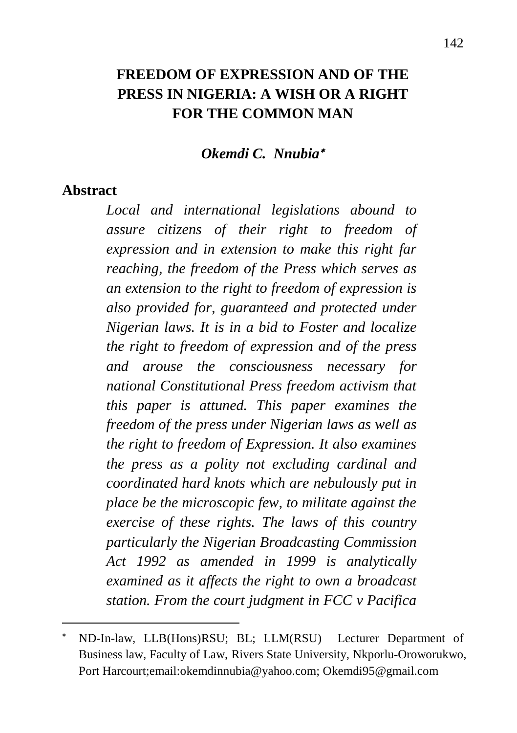## **FREEDOM OF EXPRESSION AND OF THE PRESS IN NIGERIA: A WISH OR A RIGHT FOR THE COMMON MAN**

#### *Okemdi C. Nnubia*

#### **Abstract**

 $\ddot{\phantom{a}}$ 

*Local and international legislations abound to assure citizens of their right to freedom of expression and in extension to make this right far reaching, the freedom of the Press which serves as an extension to the right to freedom of expression is also provided for, guaranteed and protected under Nigerian laws. It is in a bid to Foster and localize the right to freedom of expression and of the press and arouse the consciousness necessary for national Constitutional Press freedom activism that this paper is attuned. This paper examines the freedom of the press under Nigerian laws as well as the right to freedom of Expression. It also examines the press as a polity not excluding cardinal and coordinated hard knots which are nebulously put in place be the microscopic few, to militate against the exercise of these rights. The laws of this country particularly the Nigerian Broadcasting Commission Act 1992 as amended in 1999 is analytically examined as it affects the right to own a broadcast station. From the court judgment in FCC v Pacifica* 

ND-In-law, LLB(Hons)RSU; BL; LLM(RSU) Lecturer Department of Business law, Faculty of Law, Rivers State University, Nkporlu-Oroworukwo, Port Harcourt;email:okemdinnubia@yahoo.com; Okemdi95@gmail.com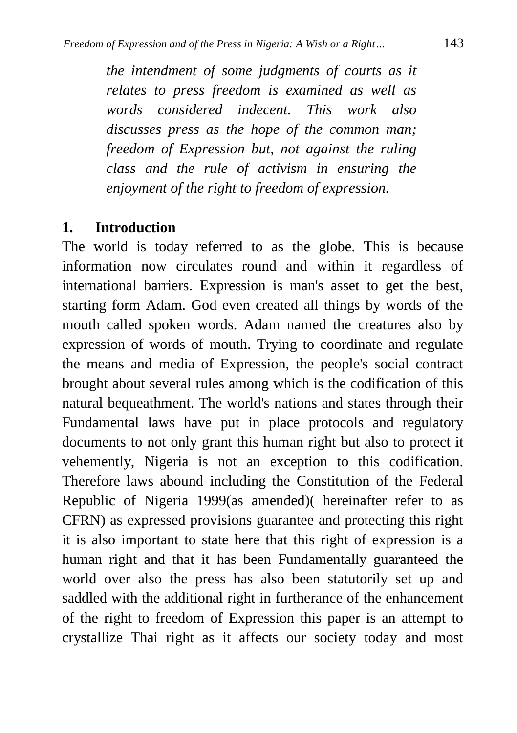*the intendment of some judgments of courts as it relates to press freedom is examined as well as words considered indecent. This work also discusses press as the hope of the common man; freedom of Expression but, not against the ruling class and the rule of activism in ensuring the enjoyment of the right to freedom of expression.*

#### **1. Introduction**

The world is today referred to as the globe. This is because information now circulates round and within it regardless of international barriers. Expression is man's asset to get the best, starting form Adam. God even created all things by words of the mouth called spoken words. Adam named the creatures also by expression of words of mouth. Trying to coordinate and regulate the means and media of Expression, the people's social contract brought about several rules among which is the codification of this natural bequeathment. The world's nations and states through their Fundamental laws have put in place protocols and regulatory documents to not only grant this human right but also to protect it vehemently, Nigeria is not an exception to this codification. Therefore laws abound including the Constitution of the Federal Republic of Nigeria 1999(as amended)( hereinafter refer to as CFRN) as expressed provisions guarantee and protecting this right it is also important to state here that this right of expression is a human right and that it has been Fundamentally guaranteed the world over also the press has also been statutorily set up and saddled with the additional right in furtherance of the enhancement of the right to freedom of Expression this paper is an attempt to crystallize Thai right as it affects our society today and most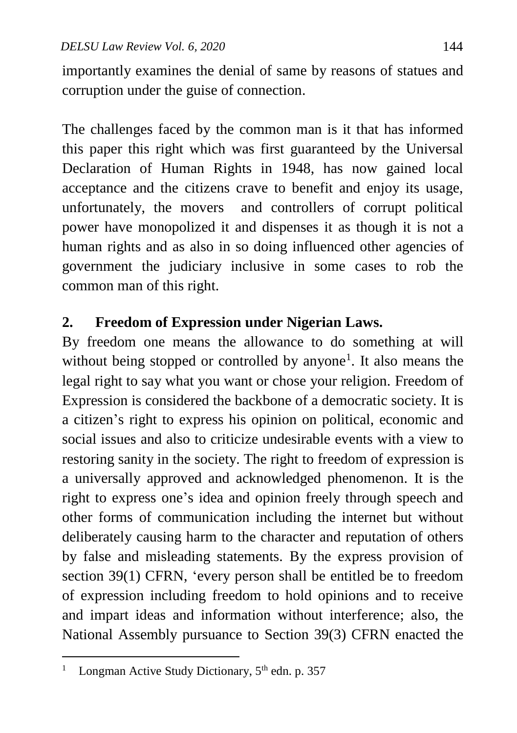importantly examines the denial of same by reasons of statues and corruption under the guise of connection.

The challenges faced by the common man is it that has informed this paper this right which was first guaranteed by the Universal Declaration of Human Rights in 1948, has now gained local acceptance and the citizens crave to benefit and enjoy its usage, unfortunately, the movers and controllers of corrupt political power have monopolized it and dispenses it as though it is not a human rights and as also in so doing influenced other agencies of government the judiciary inclusive in some cases to rob the common man of this right.

### **2. Freedom of Expression under Nigerian Laws.**

By freedom one means the allowance to do something at will without being stopped or controlled by anyone<sup>1</sup>. It also means the legal right to say what you want or chose your religion. Freedom of Expression is considered the backbone of a democratic society. It is a citizen's right to express his opinion on political, economic and social issues and also to criticize undesirable events with a view to restoring sanity in the society. The right to freedom of expression is a universally approved and acknowledged phenomenon. It is the right to express one's idea and opinion freely through speech and other forms of communication including the internet but without deliberately causing harm to the character and reputation of others by false and misleading statements. By the express provision of section 39(1) CFRN, 'every person shall be entitled be to freedom of expression including freedom to hold opinions and to receive and impart ideas and information without interference; also, the National Assembly pursuance to Section 39(3) CFRN enacted the

 $\ddot{\phantom{a}}$ <sup>1</sup> Longman Active Study Dictionary,  $5<sup>th</sup>$  edn. p. 357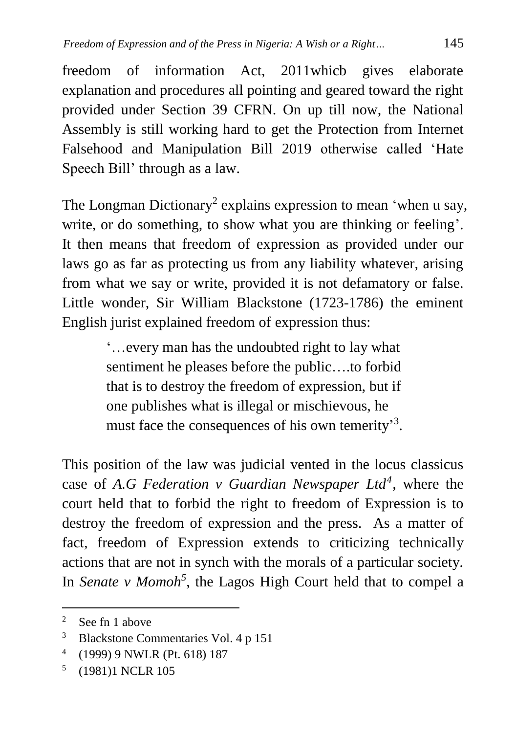freedom of information Act, 2011whicb gives elaborate explanation and procedures all pointing and geared toward the right provided under Section 39 CFRN. On up till now, the National Assembly is still working hard to get the Protection from Internet Falsehood and Manipulation Bill 2019 otherwise called 'Hate Speech Bill' through as a law.

The Longman Dictionary<sup>2</sup> explains expression to mean 'when u say, write, or do something, to show what you are thinking or feeling'. It then means that freedom of expression as provided under our laws go as far as protecting us from any liability whatever, arising from what we say or write, provided it is not defamatory or false. Little wonder, Sir William Blackstone (1723-1786) the eminent English jurist explained freedom of expression thus:

> '…every man has the undoubted right to lay what sentiment he pleases before the public….to forbid that is to destroy the freedom of expression, but if one publishes what is illegal or mischievous, he must face the consequences of his own temerity<sup>3</sup>.

This position of the law was judicial vented in the locus classicus case of *A.G Federation v Guardian Newspaper Ltd<sup>4</sup>* , where the court held that to forbid the right to freedom of Expression is to destroy the freedom of expression and the press. As a matter of fact, freedom of Expression extends to criticizing technically actions that are not in synch with the morals of a particular society. In *Senate v Momoh<sup>5</sup>* , the Lagos High Court held that to compel a

<sup>&</sup>lt;sup>2</sup> See fn 1 above

<sup>3</sup> Blackstone Commentaries Vol. 4 p 151

<sup>4</sup> (1999) 9 NWLR (Pt. 618) 187

<sup>5</sup> (1981)1 NCLR 105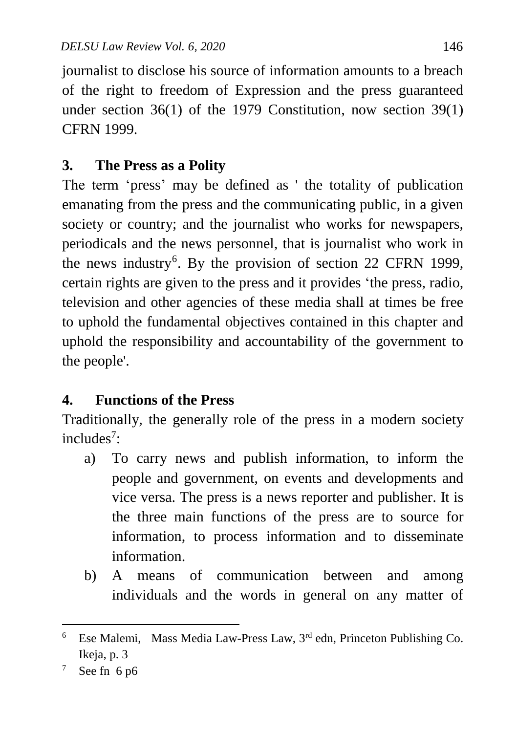journalist to disclose his source of information amounts to a breach of the right to freedom of Expression and the press guaranteed under section 36(1) of the 1979 Constitution, now section 39(1) CFRN 1999.

### **3. The Press as a Polity**

The term 'press' may be defined as ' the totality of publication emanating from the press and the communicating public, in a given society or country; and the journalist who works for newspapers, periodicals and the news personnel, that is journalist who work in the news industry<sup>6</sup>. By the provision of section 22 CFRN 1999, certain rights are given to the press and it provides 'the press, radio, television and other agencies of these media shall at times be free to uphold the fundamental objectives contained in this chapter and uphold the responsibility and accountability of the government to the people'.

# **4. Functions of the Press**

Traditionally, the generally role of the press in a modern society includes<sup>7</sup>:

- a) To carry news and publish information, to inform the people and government, on events and developments and vice versa. The press is a news reporter and publisher. It is the three main functions of the press are to source for information, to process information and to disseminate information.
- b) A means of communication between and among individuals and the words in general on any matter of

 6 Ese Malemi, Mass Media Law-Press Law, 3rd edn, Princeton Publishing Co. Ikeja, p. 3

<sup>&</sup>lt;sup>7</sup> See fn 6 p6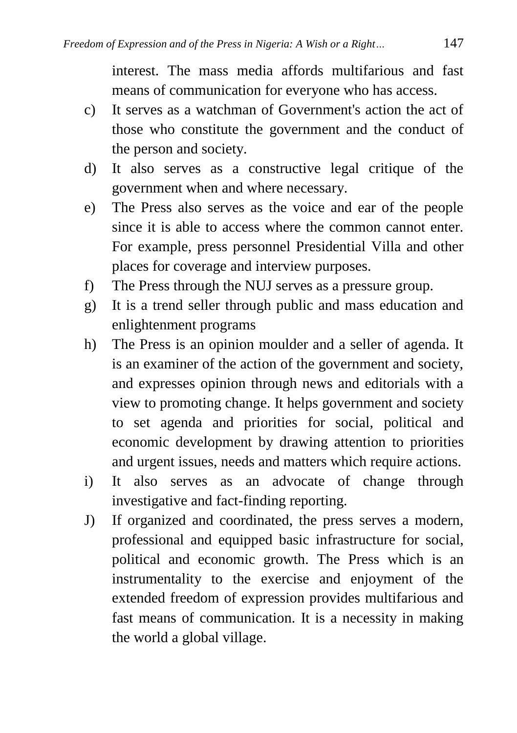interest. The mass media affords multifarious and fast means of communication for everyone who has access.

- c) It serves as a watchman of Government's action the act of those who constitute the government and the conduct of the person and society.
- d) It also serves as a constructive legal critique of the government when and where necessary.
- e) The Press also serves as the voice and ear of the people since it is able to access where the common cannot enter. For example, press personnel Presidential Villa and other places for coverage and interview purposes.
- f) The Press through the NUJ serves as a pressure group.
- g) It is a trend seller through public and mass education and enlightenment programs
- h) The Press is an opinion moulder and a seller of agenda. It is an examiner of the action of the government and society, and expresses opinion through news and editorials with a view to promoting change. It helps government and society to set agenda and priorities for social, political and economic development by drawing attention to priorities and urgent issues, needs and matters which require actions.
- i) It also serves as an advocate of change through investigative and fact-finding reporting.
- J) If organized and coordinated, the press serves a modern, professional and equipped basic infrastructure for social, political and economic growth. The Press which is an instrumentality to the exercise and enjoyment of the extended freedom of expression provides multifarious and fast means of communication. It is a necessity in making the world a global village.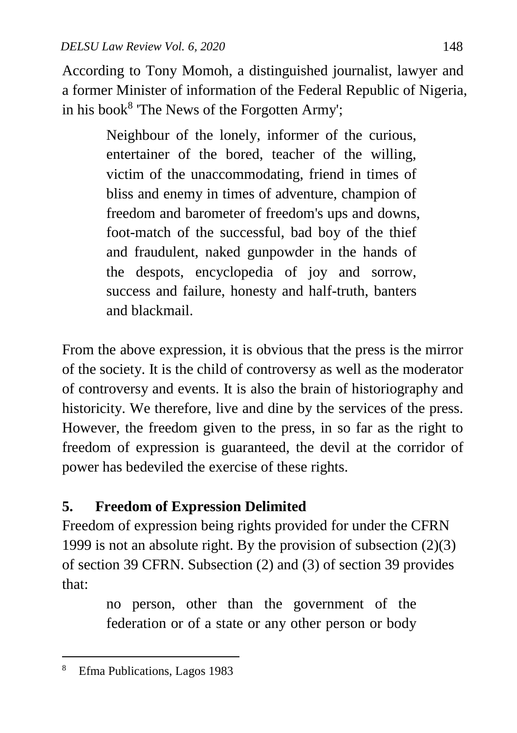According to Tony Momoh, a distinguished journalist, lawyer and a former Minister of information of the Federal Republic of Nigeria, in his book<sup>8</sup> 'The News of the Forgotten Army';

> Neighbour of the lonely, informer of the curious, entertainer of the bored, teacher of the willing, victim of the unaccommodating, friend in times of bliss and enemy in times of adventure, champion of freedom and barometer of freedom's ups and downs, foot-match of the successful, bad boy of the thief and fraudulent, naked gunpowder in the hands of the despots, encyclopedia of joy and sorrow, success and failure, honesty and half-truth, banters and blackmail.

From the above expression, it is obvious that the press is the mirror of the society. It is the child of controversy as well as the moderator of controversy and events. It is also the brain of historiography and historicity. We therefore, live and dine by the services of the press. However, the freedom given to the press, in so far as the right to freedom of expression is guaranteed, the devil at the corridor of power has bedeviled the exercise of these rights.

# **5. Freedom of Expression Delimited**

Freedom of expression being rights provided for under the CFRN 1999 is not an absolute right. By the provision of subsection (2)(3) of section 39 CFRN. Subsection (2) and (3) of section 39 provides that:

> no person, other than the government of the federation or of a state or any other person or body

<sup>8</sup> Efma Publications, Lagos 1983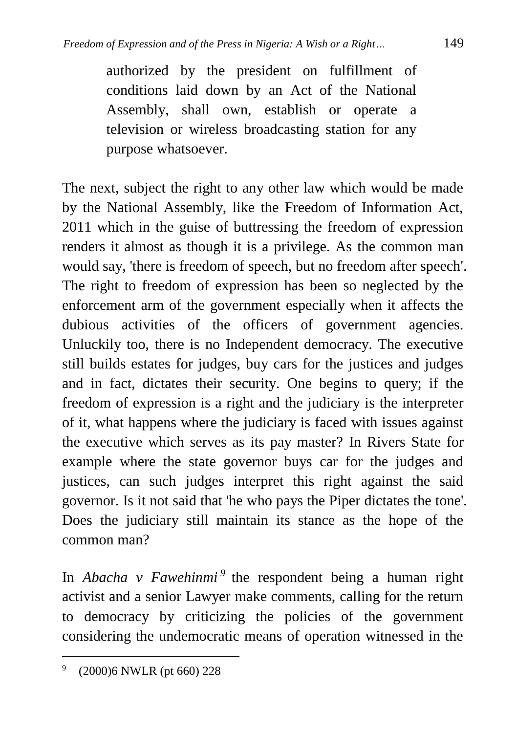authorized by the president on fulfillment of conditions laid down by an Act of the National Assembly, shall own, establish or operate a television or wireless broadcasting station for any purpose whatsoever.

The next, subject the right to any other law which would be made by the National Assembly, like the Freedom of Information Act, 2011 which in the guise of buttressing the freedom of expression renders it almost as though it is a privilege. As the common man would say, 'there is freedom of speech, but no freedom after speech'. The right to freedom of expression has been so neglected by the enforcement arm of the government especially when it affects the dubious activities of the officers of government agencies. Unluckily too, there is no Independent democracy. The executive still builds estates for judges, buy cars for the justices and judges and in fact, dictates their security. One begins to query; if the freedom of expression is a right and the judiciary is the interpreter of it, what happens where the judiciary is faced with issues against the executive which serves as its pay master? In Rivers State for example where the state governor buys car for the judges and justices, can such judges interpret this right against the said governor. Is it not said that 'he who pays the Piper dictates the tone'. Does the judiciary still maintain its stance as the hope of the common man?

In *Abacha v Fawehinmi*<sup>9</sup> the respondent being a human right activist and a senior Lawyer make comments, calling for the return to democracy by criticizing the policies of the government considering the undemocratic means of operation witnessed in the

<sup>9</sup> (2000)6 NWLR (pt 660) 228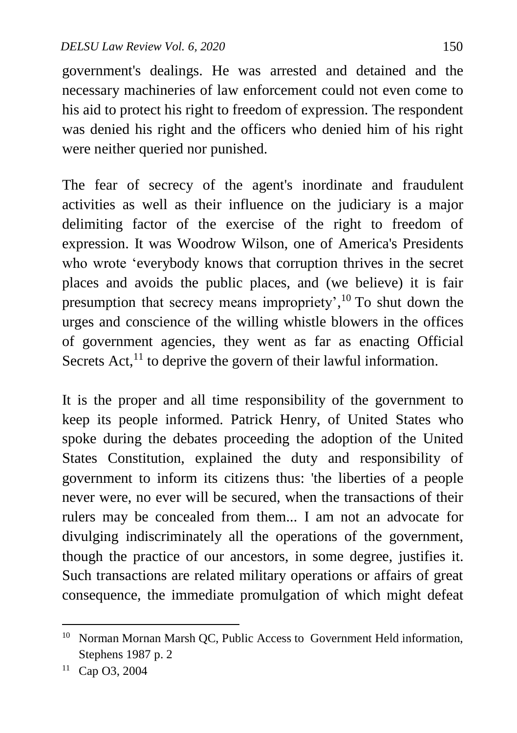government's dealings. He was arrested and detained and the necessary machineries of law enforcement could not even come to his aid to protect his right to freedom of expression. The respondent was denied his right and the officers who denied him of his right were neither queried nor punished.

The fear of secrecy of the agent's inordinate and fraudulent activities as well as their influence on the judiciary is a major delimiting factor of the exercise of the right to freedom of expression. It was Woodrow Wilson, one of America's Presidents who wrote 'everybody knows that corruption thrives in the secret places and avoids the public places, and (we believe) it is fair presumption that secrecy means impropriety',<sup>10</sup> To shut down the urges and conscience of the willing whistle blowers in the offices of government agencies, they went as far as enacting Official Secrets Act, $^{11}$  to deprive the govern of their lawful information.

It is the proper and all time responsibility of the government to keep its people informed. Patrick Henry, of United States who spoke during the debates proceeding the adoption of the United States Constitution, explained the duty and responsibility of government to inform its citizens thus: 'the liberties of a people never were, no ever will be secured, when the transactions of their rulers may be concealed from them... I am not an advocate for divulging indiscriminately all the operations of the government, though the practice of our ancestors, in some degree, justifies it. Such transactions are related military operations or affairs of great consequence, the immediate promulgation of which might defeat

<sup>&</sup>lt;sup>10</sup> Norman Mornan Marsh QC, Public Access to Government Held information, Stephens 1987 p. 2

<sup>11</sup> Cap O3, 2004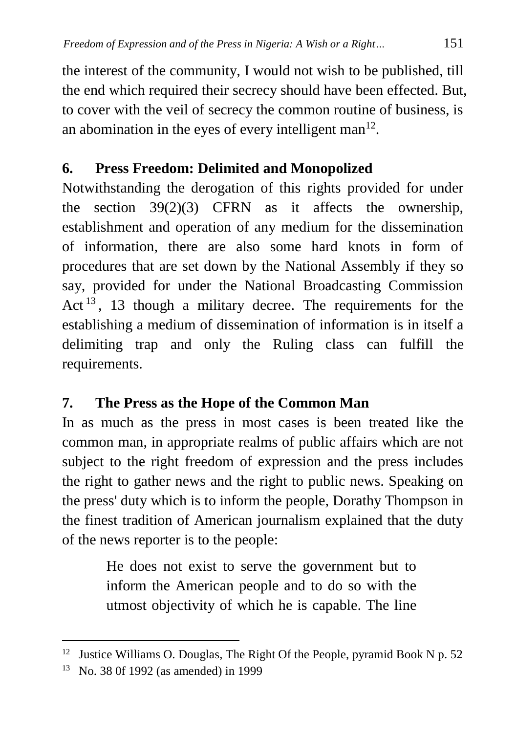the interest of the community, I would not wish to be published, till the end which required their secrecy should have been effected. But, to cover with the veil of secrecy the common routine of business, is an abomination in the eyes of every intelligent man $^{12}$ .

# **6. Press Freedom: Delimited and Monopolized**

Notwithstanding the derogation of this rights provided for under the section  $39(2)(3)$  CFRN as it affects the ownership, establishment and operation of any medium for the dissemination of information, there are also some hard knots in form of procedures that are set down by the National Assembly if they so say, provided for under the National Broadcasting Commission Act  $13$ , 13 though a military decree. The requirements for the establishing a medium of dissemination of information is in itself a delimiting trap and only the Ruling class can fulfill the requirements.

# **7. The Press as the Hope of the Common Man**

In as much as the press in most cases is been treated like the common man, in appropriate realms of public affairs which are not subject to the right freedom of expression and the press includes the right to gather news and the right to public news. Speaking on the press' duty which is to inform the people, Dorathy Thompson in the finest tradition of American journalism explained that the duty of the news reporter is to the people:

> He does not exist to serve the government but to inform the American people and to do so with the utmost objectivity of which he is capable. The line

<sup>&</sup>lt;sup>12</sup> Justice Williams O. Douglas, The Right Of the People, pyramid Book N p. 52

<sup>13</sup> No. 38 0f 1992 (as amended) in 1999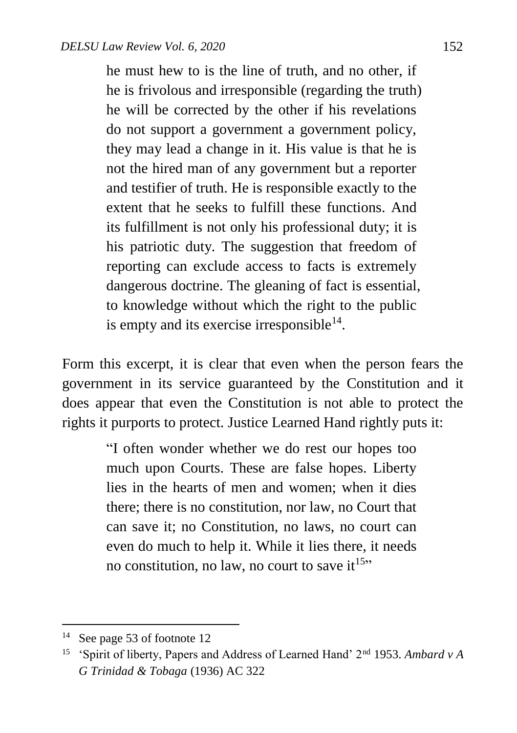he must hew to is the line of truth, and no other, if he is frivolous and irresponsible (regarding the truth) he will be corrected by the other if his revelations do not support a government a government policy, they may lead a change in it. His value is that he is not the hired man of any government but a reporter and testifier of truth. He is responsible exactly to the extent that he seeks to fulfill these functions. And its fulfillment is not only his professional duty; it is his patriotic duty. The suggestion that freedom of reporting can exclude access to facts is extremely dangerous doctrine. The gleaning of fact is essential, to knowledge without which the right to the public is empty and its exercise irresponsible $^{14}$ .

Form this excerpt, it is clear that even when the person fears the government in its service guaranteed by the Constitution and it does appear that even the Constitution is not able to protect the rights it purports to protect. Justice Learned Hand rightly puts it:

> "I often wonder whether we do rest our hopes too much upon Courts. These are false hopes. Liberty lies in the hearts of men and women; when it dies there; there is no constitution, nor law, no Court that can save it; no Constitution, no laws, no court can even do much to help it. While it lies there, it needs no constitution, no law, no court to save it<sup>15</sup>"

<sup>14</sup> See page 53 of footnote 12

<sup>15</sup> 'Spirit of liberty, Papers and Address of Learned Hand' 2nd 1953. *Ambard v A G Trinidad & Tobaga* (1936) AC 322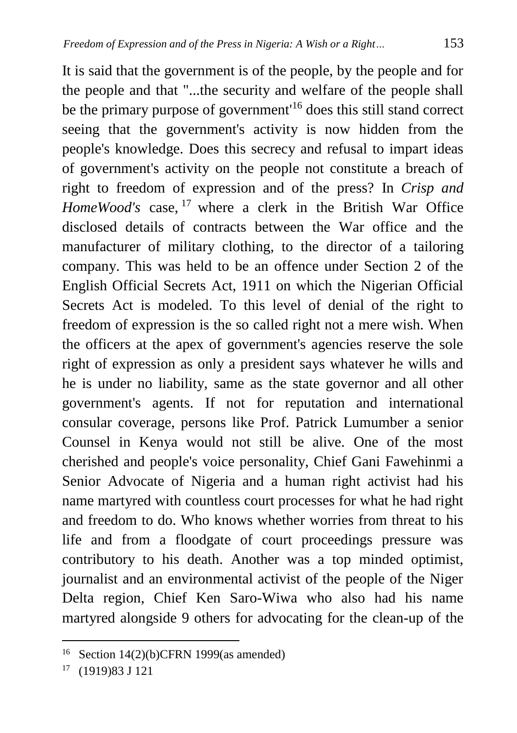It is said that the government is of the people, by the people and for the people and that "...the security and welfare of the people shall be the primary purpose of government<sup>16</sup> does this still stand correct seeing that the government's activity is now hidden from the people's knowledge. Does this secrecy and refusal to impart ideas of government's activity on the people not constitute a breach of right to freedom of expression and of the press? In *Crisp and HomeWood's* case, <sup>17</sup> where a clerk in the British War Office disclosed details of contracts between the War office and the manufacturer of military clothing, to the director of a tailoring company. This was held to be an offence under Section 2 of the English Official Secrets Act, 1911 on which the Nigerian Official Secrets Act is modeled. To this level of denial of the right to freedom of expression is the so called right not a mere wish. When the officers at the apex of government's agencies reserve the sole right of expression as only a president says whatever he wills and he is under no liability, same as the state governor and all other government's agents. If not for reputation and international consular coverage, persons like Prof. Patrick Lumumber a senior Counsel in Kenya would not still be alive. One of the most cherished and people's voice personality, Chief Gani Fawehinmi a Senior Advocate of Nigeria and a human right activist had his name martyred with countless court processes for what he had right and freedom to do. Who knows whether worries from threat to his life and from a floodgate of court proceedings pressure was contributory to his death. Another was a top minded optimist, journalist and an environmental activist of the people of the Niger Delta region, Chief Ken Saro-Wiwa who also had his name martyred alongside 9 others for advocating for the clean-up of the

<sup>&</sup>lt;sup>16</sup> Section 14(2)(b)CFRN 1999(as amended)

<sup>17</sup> (1919)83 J 121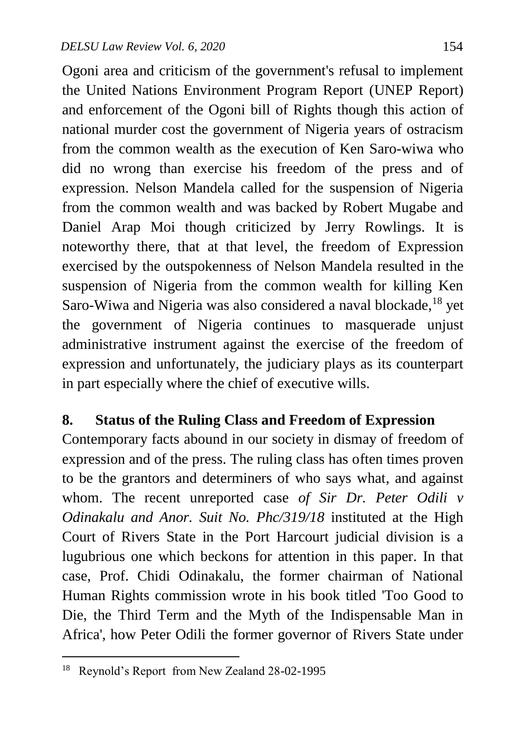Ogoni area and criticism of the government's refusal to implement the United Nations Environment Program Report (UNEP Report) and enforcement of the Ogoni bill of Rights though this action of national murder cost the government of Nigeria years of ostracism from the common wealth as the execution of Ken Saro-wiwa who did no wrong than exercise his freedom of the press and of expression. Nelson Mandela called for the suspension of Nigeria from the common wealth and was backed by Robert Mugabe and Daniel Arap Moi though criticized by Jerry Rowlings. It is noteworthy there, that at that level, the freedom of Expression exercised by the outspokenness of Nelson Mandela resulted in the suspension of Nigeria from the common wealth for killing Ken Saro-Wiwa and Nigeria was also considered a naval blockade,<sup>18</sup> yet the government of Nigeria continues to masquerade unjust administrative instrument against the exercise of the freedom of expression and unfortunately, the judiciary plays as its counterpart in part especially where the chief of executive wills.

#### **8. Status of the Ruling Class and Freedom of Expression**

Contemporary facts abound in our society in dismay of freedom of expression and of the press. The ruling class has often times proven to be the grantors and determiners of who says what, and against whom. The recent unreported case *of Sir Dr. Peter Odili v Odinakalu and Anor. Suit No. Phc/319/18* instituted at the High Court of Rivers State in the Port Harcourt judicial division is a lugubrious one which beckons for attention in this paper. In that case, Prof. Chidi Odinakalu, the former chairman of National Human Rights commission wrote in his book titled 'Too Good to Die, the Third Term and the Myth of the Indispensable Man in Africa', how Peter Odili the former governor of Rivers State under

<sup>&</sup>lt;sup>18</sup> Reynold's Report from New Zealand 28-02-1995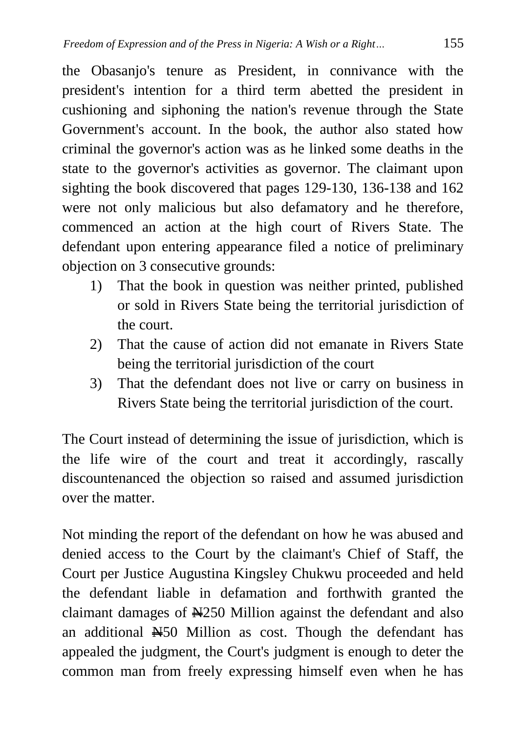the Obasanjo's tenure as President, in connivance with the president's intention for a third term abetted the president in cushioning and siphoning the nation's revenue through the State Government's account. In the book, the author also stated how criminal the governor's action was as he linked some deaths in the state to the governor's activities as governor. The claimant upon sighting the book discovered that pages 129-130, 136-138 and 162 were not only malicious but also defamatory and he therefore, commenced an action at the high court of Rivers State. The defendant upon entering appearance filed a notice of preliminary objection on 3 consecutive grounds:

- 1) That the book in question was neither printed, published or sold in Rivers State being the territorial jurisdiction of the court.
- 2) That the cause of action did not emanate in Rivers State being the territorial jurisdiction of the court
- 3) That the defendant does not live or carry on business in Rivers State being the territorial jurisdiction of the court.

The Court instead of determining the issue of jurisdiction, which is the life wire of the court and treat it accordingly, rascally discountenanced the objection so raised and assumed jurisdiction over the matter.

Not minding the report of the defendant on how he was abused and denied access to the Court by the claimant's Chief of Staff, the Court per Justice Augustina Kingsley Chukwu proceeded and held the defendant liable in defamation and forthwith granted the claimant damages of N250 Million against the defendant and also an additional N50 Million as cost. Though the defendant has appealed the judgment, the Court's judgment is enough to deter the common man from freely expressing himself even when he has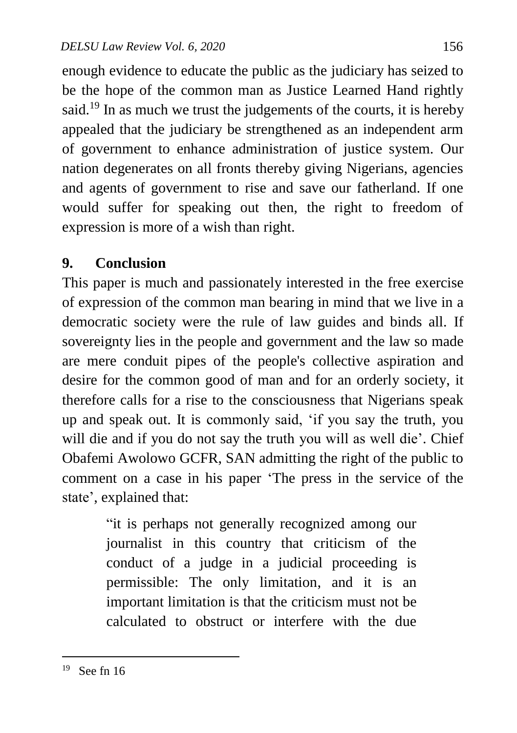enough evidence to educate the public as the judiciary has seized to be the hope of the common man as Justice Learned Hand rightly said.<sup>19</sup> In as much we trust the judgements of the courts, it is hereby appealed that the judiciary be strengthened as an independent arm of government to enhance administration of justice system. Our nation degenerates on all fronts thereby giving Nigerians, agencies and agents of government to rise and save our fatherland. If one would suffer for speaking out then, the right to freedom of expression is more of a wish than right.

#### **9. Conclusion**

This paper is much and passionately interested in the free exercise of expression of the common man bearing in mind that we live in a democratic society were the rule of law guides and binds all. If sovereignty lies in the people and government and the law so made are mere conduit pipes of the people's collective aspiration and desire for the common good of man and for an orderly society, it therefore calls for a rise to the consciousness that Nigerians speak up and speak out. It is commonly said, 'if you say the truth, you will die and if you do not say the truth you will as well die'. Chief Obafemi Awolowo GCFR, SAN admitting the right of the public to comment on a case in his paper 'The press in the service of the state', explained that:

> "it is perhaps not generally recognized among our journalist in this country that criticism of the conduct of a judge in a judicial proceeding is permissible: The only limitation, and it is an important limitation is that the criticism must not be calculated to obstruct or interfere with the due

 $19$  See fn 16